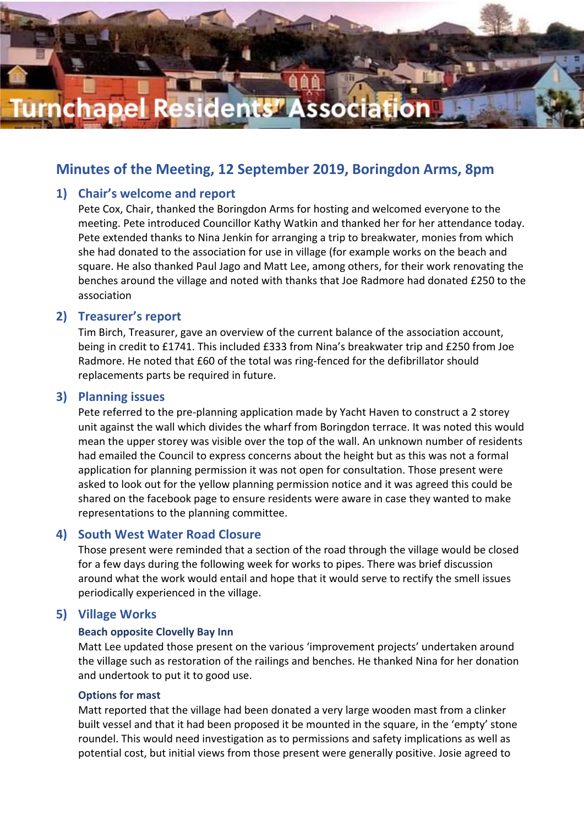

# **Minutes of the Meeting, 12 September 2019, Boringdon Arms, 8pm**

#### **1) Chair's welcome and report**

Pete Cox, Chair, thanked the Boringdon Arms for hosting and welcomed everyone to the meeting. Pete introduced Councillor Kathy Watkin and thanked her for her attendance today. Pete extended thanks to Nina Jenkin for arranging a trip to breakwater, monies from which she had donated to the association for use in village (for example works on the beach and square. He also thanked Paul Jago and Matt Lee, among others, for their work renovating the benches around the village and noted with thanks that Joe Radmore had donated £250 to the association

#### **2) Treasurer's report**

Tim Birch, Treasurer, gave an overview of the current balance of the association account, being in credit to £1741. This included £333 from Nina's breakwater trip and £250 from Joe Radmore. He noted that £60 of the total was ring-fenced for the defibrillator should replacements parts be required in future.

#### **3) Planning issues**

Pete referred to the pre-planning application made by Yacht Haven to construct a 2 storey unit against the wall which divides the wharf from Boringdon terrace. It was noted this would mean the upper storey was visible over the top of the wall. An unknown number of residents had emailed the Council to express concerns about the height but as this was not a formal application for planning permission it was not open for consultation. Those present were asked to look out for the yellow planning permission notice and it was agreed this could be shared on the facebook page to ensure residents were aware in case they wanted to make representations to the planning committee.

#### **4) South West Water Road Closure**

Those present were reminded that a section of the road through the village would be closed for a few days during the following week for works to pipes. There was brief discussion around what the work would entail and hope that it would serve to rectify the smell issues periodically experienced in the village.

### **5) Village Works**

#### **Beach opposite Clovelly Bay Inn**

Matt Lee updated those present on the various 'improvement projects' undertaken around the village such as restoration of the railings and benches. He thanked Nina for her donation and undertook to put it to good use.

#### **Options for mast**

Matt reported that the village had been donated a very large wooden mast from a clinker built vessel and that it had been proposed it be mounted in the square, in the 'empty' stone roundel. This would need investigation as to permissions and safety implications as well as potential cost, but initial views from those present were generally positive. Josie agreed to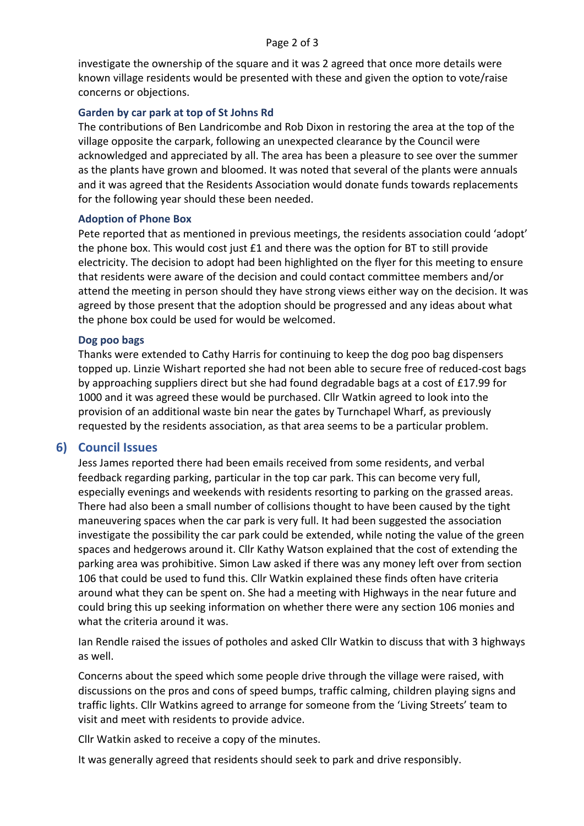investigate the ownership of the square and it was 2 agreed that once more details were known village residents would be presented with these and given the option to vote/raise concerns or objections.

#### **Garden by car park at top of St Johns Rd**

The contributions of Ben Landricombe and Rob Dixon in restoring the area at the top of the village opposite the carpark, following an unexpected clearance by the Council were acknowledged and appreciated by all. The area has been a pleasure to see over the summer as the plants have grown and bloomed. It was noted that several of the plants were annuals and it was agreed that the Residents Association would donate funds towards replacements for the following year should these been needed.

#### **Adoption of Phone Box**

Pete reported that as mentioned in previous meetings, the residents association could 'adopt' the phone box. This would cost just £1 and there was the option for BT to still provide electricity. The decision to adopt had been highlighted on the flyer for this meeting to ensure that residents were aware of the decision and could contact committee members and/or attend the meeting in person should they have strong views either way on the decision. It was agreed by those present that the adoption should be progressed and any ideas about what the phone box could be used for would be welcomed.

#### **Dog poo bags**

Thanks were extended to Cathy Harris for continuing to keep the dog poo bag dispensers topped up. Linzie Wishart reported she had not been able to secure free of reduced-cost bags by approaching suppliers direct but she had found degradable bags at a cost of £17.99 for 1000 and it was agreed these would be purchased. Cllr Watkin agreed to look into the provision of an additional waste bin near the gates by Turnchapel Wharf, as previously requested by the residents association, as that area seems to be a particular problem.

### **6) Council Issues**

Jess James reported there had been emails received from some residents, and verbal feedback regarding parking, particular in the top car park. This can become very full, especially evenings and weekends with residents resorting to parking on the grassed areas. There had also been a small number of collisions thought to have been caused by the tight maneuvering spaces when the car park is very full. It had been suggested the association investigate the possibility the car park could be extended, while noting the value of the green spaces and hedgerows around it. Cllr Kathy Watson explained that the cost of extending the parking area was prohibitive. Simon Law asked if there was any money left over from section 106 that could be used to fund this. Cllr Watkin explained these finds often have criteria around what they can be spent on. She had a meeting with Highways in the near future and could bring this up seeking information on whether there were any section 106 monies and what the criteria around it was.

Ian Rendle raised the issues of potholes and asked Cllr Watkin to discuss that with 3 highways as well.

Concerns about the speed which some people drive through the village were raised, with discussions on the pros and cons of speed bumps, traffic calming, children playing signs and traffic lights. Cllr Watkins agreed to arrange for someone from the 'Living Streets' team to visit and meet with residents to provide advice.

Cllr Watkin asked to receive a copy of the minutes.

It was generally agreed that residents should seek to park and drive responsibly.